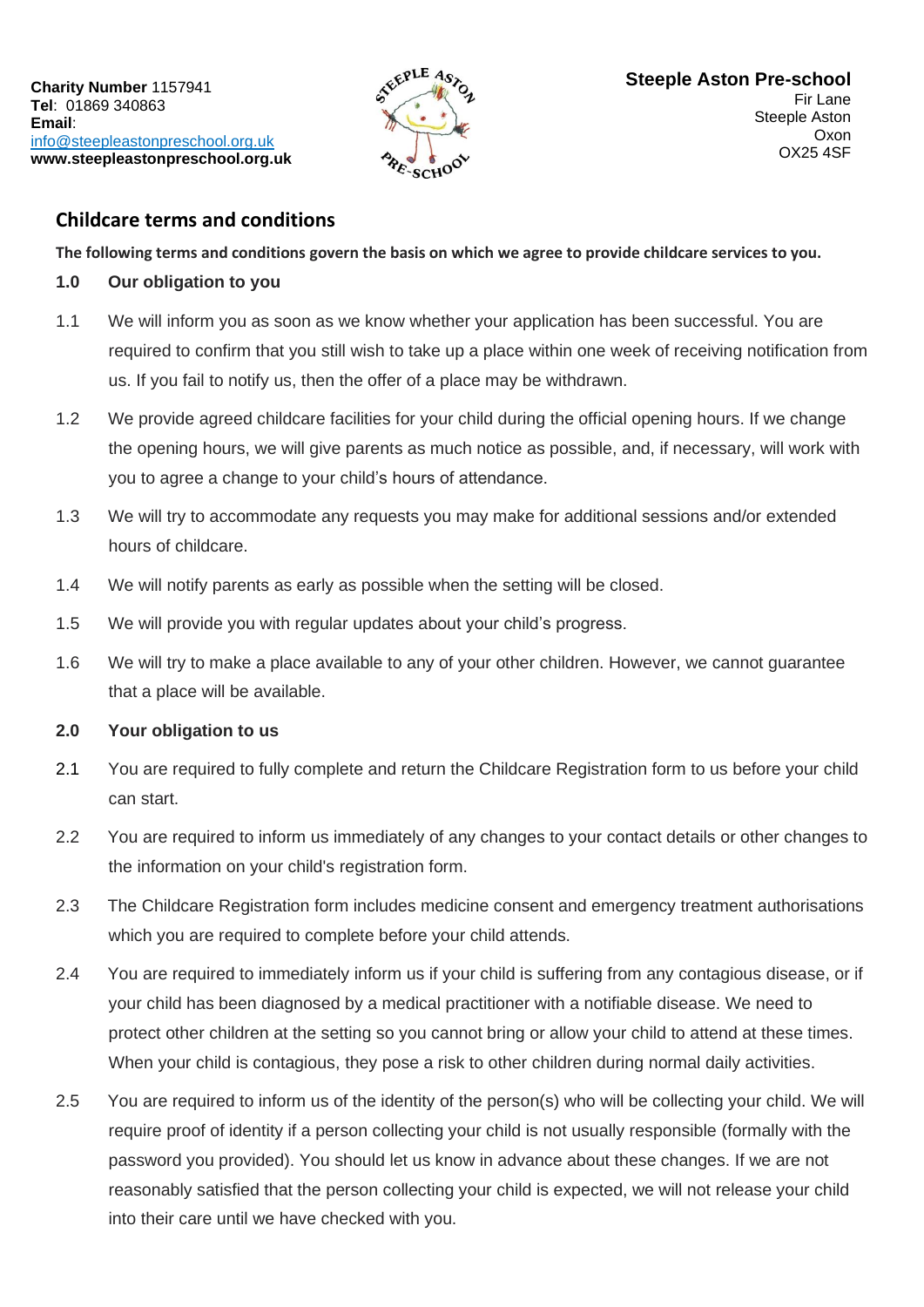

# **Childcare terms and conditions**

**The following terms and conditions govern the basis on which we agree to provide childcare services to you.**

## **1.0 Our obligation to you**

- 1.1 We will inform you as soon as we know whether your application has been successful. You are required to confirm that you still wish to take up a place within one week of receiving notification from us. If you fail to notify us, then the offer of a place may be withdrawn.
- 1.2 We provide agreed childcare facilities for your child during the official opening hours. If we change the opening hours, we will give parents as much notice as possible, and, if necessary, will work with you to agree a change to your child's hours of attendance.
- 1.3 We will try to accommodate any requests you may make for additional sessions and/or extended hours of childcare.
- 1.4 We will notify parents as early as possible when the setting will be closed.
- 1.5 We will provide you with regular updates about your child's progress.
- 1.6 We will try to make a place available to any of your other children. However, we cannot guarantee that a place will be available.

# **2.0 Your obligation to us**

- 2.1 You are required to fully complete and return the Childcare Registration form to us before your child can start.
- 2.2 You are required to inform us immediately of any changes to your contact details or other changes to the information on your child's registration form.
- 2.3 The Childcare Registration form includes medicine consent and emergency treatment authorisations which you are required to complete before your child attends.
- 2.4 You are required to immediately inform us if your child is suffering from any contagious disease, or if your child has been diagnosed by a medical practitioner with a notifiable disease. We need to protect other children at the setting so you cannot bring or allow your child to attend at these times. When your child is contagious, they pose a risk to other children during normal daily activities.
- 2.5 You are required to inform us of the identity of the person(s) who will be collecting your child. We will require proof of identity if a person collecting your child is not usually responsible (formally with the password you provided). You should let us know in advance about these changes. If we are not reasonably satisfied that the person collecting your child is expected, we will not release your child into their care until we have checked with you.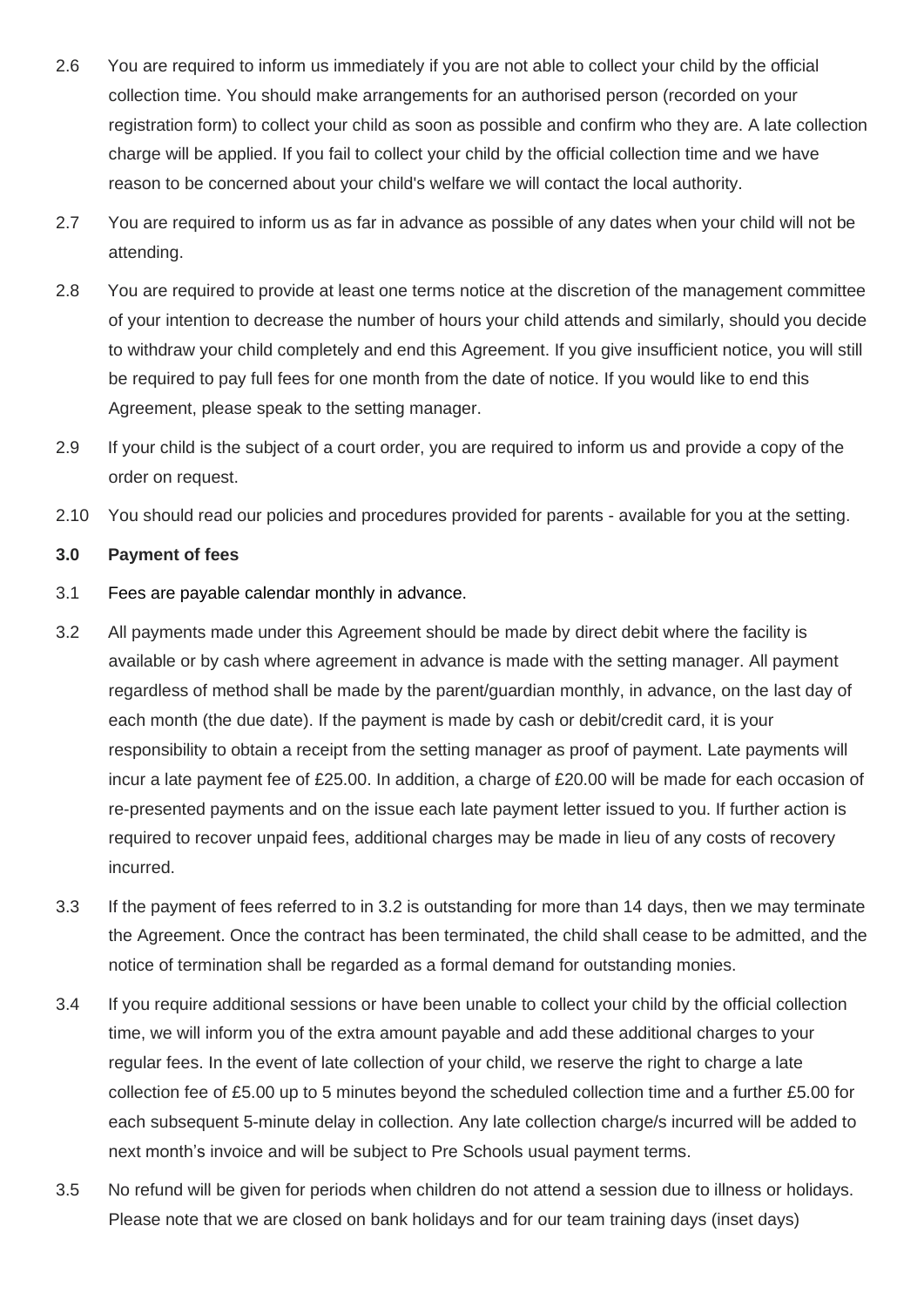- 2.6 You are required to inform us immediately if you are not able to collect your child by the official collection time. You should make arrangements for an authorised person (recorded on your registration form) to collect your child as soon as possible and confirm who they are. A late collection charge will be applied. If you fail to collect your child by the official collection time and we have reason to be concerned about your child's welfare we will contact the local authority.
- 2.7 You are required to inform us as far in advance as possible of any dates when your child will not be attending.
- 2.8 You are required to provide at least one terms notice at the discretion of the management committee of your intention to decrease the number of hours your child attends and similarly, should you decide to withdraw your child completely and end this Agreement. If you give insufficient notice, you will still be required to pay full fees for one month from the date of notice. If you would like to end this Agreement, please speak to the setting manager.
- 2.9 If your child is the subject of a court order, you are required to inform us and provide a copy of the order on request.
- 2.10 You should read our policies and procedures provided for parents available for you at the setting.

#### **3.0 Payment of fees**

- 3.1 Fees are payable calendar monthly in advance.
- 3.2 All payments made under this Agreement should be made by direct debit where the facility is available or by cash where agreement in advance is made with the setting manager. All payment regardless of method shall be made by the parent/guardian monthly, in advance, on the last day of each month (the due date). If the payment is made by cash or debit/credit card, it is your responsibility to obtain a receipt from the setting manager as proof of payment. Late payments will incur a late payment fee of £25.00. In addition, a charge of £20.00 will be made for each occasion of re-presented payments and on the issue each late payment letter issued to you. If further action is required to recover unpaid fees, additional charges may be made in lieu of any costs of recovery incurred.
- 3.3 If the payment of fees referred to in 3.2 is outstanding for more than 14 days, then we may terminate the Agreement. Once the contract has been terminated, the child shall cease to be admitted, and the notice of termination shall be regarded as a formal demand for outstanding monies.
- 3.4 If you require additional sessions or have been unable to collect your child by the official collection time, we will inform you of the extra amount payable and add these additional charges to your regular fees. In the event of late collection of your child, we reserve the right to charge a late collection fee of £5.00 up to 5 minutes beyond the scheduled collection time and a further £5.00 for each subsequent 5-minute delay in collection. Any late collection charge/s incurred will be added to next month's invoice and will be subject to Pre Schools usual payment terms.
- 3.5 No refund will be given for periods when children do not attend a session due to illness or holidays. Please note that we are closed on bank holidays and for our team training days (inset days)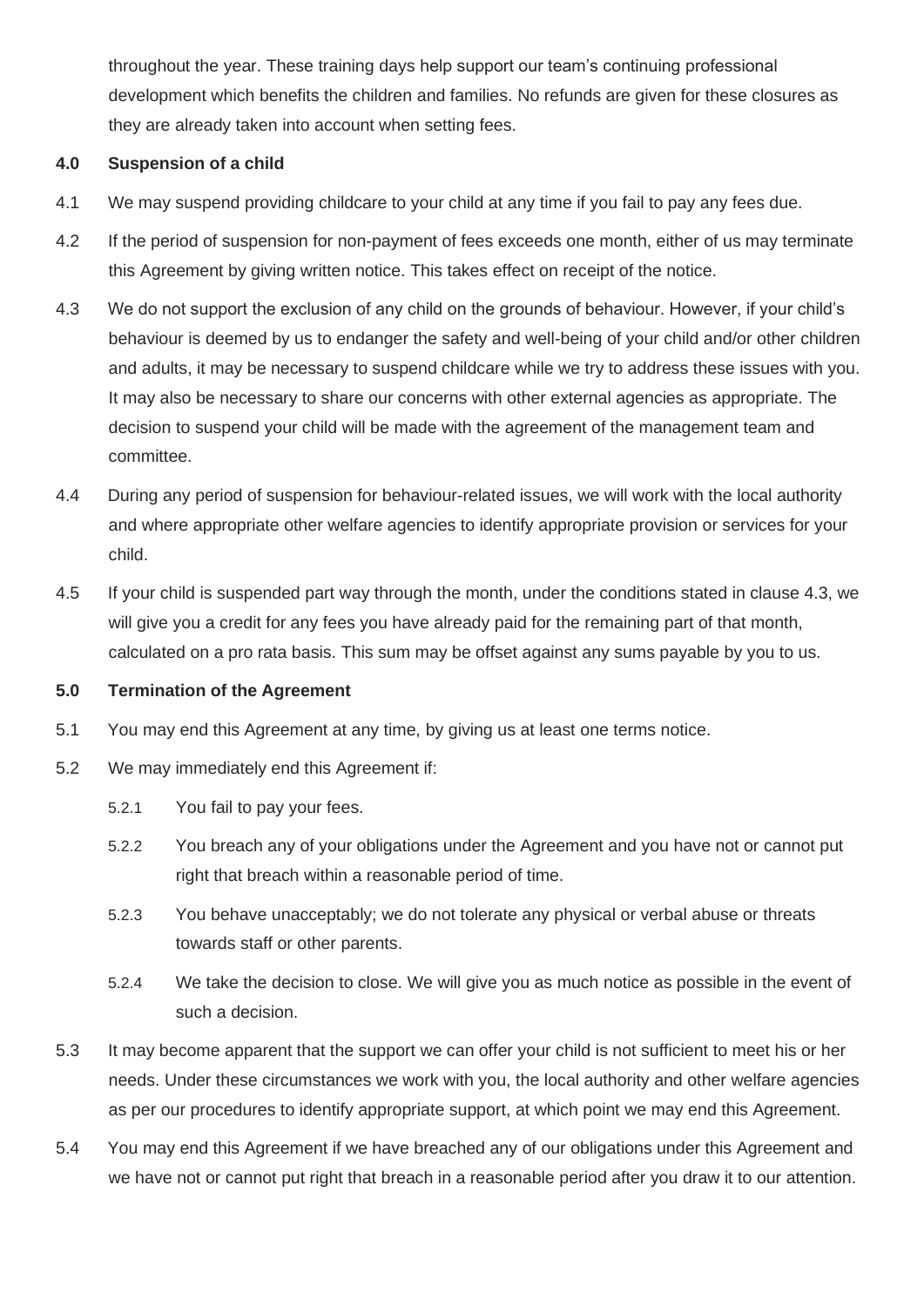throughout the year. These training days help support our team's continuing professional development which benefits the children and families. No refunds are given for these closures as they are already taken into account when setting fees.

## **4.0 Suspension of a child**

- 4.1 We may suspend providing childcare to your child at any time if you fail to pay any fees due.
- 4.2 If the period of suspension for non-payment of fees exceeds one month, either of us may terminate this Agreement by giving written notice. This takes effect on receipt of the notice.
- 4.3 We do not support the exclusion of any child on the grounds of behaviour. However, if your child's behaviour is deemed by us to endanger the safety and well-being of your child and/or other children and adults, it may be necessary to suspend childcare while we try to address these issues with you. It may also be necessary to share our concerns with other external agencies as appropriate. The decision to suspend your child will be made with the agreement of the management team and committee.
- 4.4 During any period of suspension for behaviour-related issues, we will work with the local authority and where appropriate other welfare agencies to identify appropriate provision or services for your child.
- 4.5 If your child is suspended part way through the month, under the conditions stated in clause 4.3, we will give you a credit for any fees you have already paid for the remaining part of that month, calculated on a pro rata basis. This sum may be offset against any sums payable by you to us.

#### **5.0 Termination of the Agreement**

- 5.1 You may end this Agreement at any time, by giving us at least one terms notice.
- 5.2 We may immediately end this Agreement if:
	- 5.2.1 You fail to pay your fees.
	- 5.2.2 You breach any of your obligations under the Agreement and you have not or cannot put right that breach within a reasonable period of time.
	- 5.2.3 You behave unacceptably; we do not tolerate any physical or verbal abuse or threats towards staff or other parents.
	- 5.2.4 We take the decision to close. We will give you as much notice as possible in the event of such a decision.
- 5.3 It may become apparent that the support we can offer your child is not sufficient to meet his or her needs. Under these circumstances we work with you, the local authority and other welfare agencies as per our procedures to identify appropriate support, at which point we may end this Agreement.
- 5.4 You may end this Agreement if we have breached any of our obligations under this Agreement and we have not or cannot put right that breach in a reasonable period after you draw it to our attention.